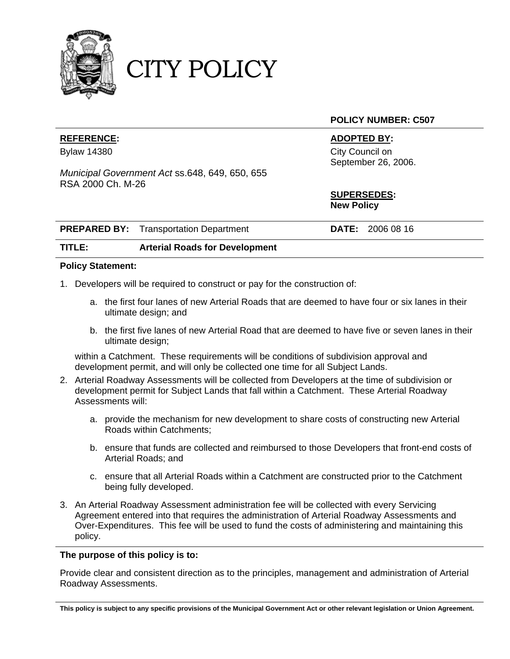

CITY POLICY

### **POLICY NUMBER: C507**

### **REFERENCE: ADOPTED BY:**

Bylaw 14380 City Council on September 26, 2006.

> **SUPERSEDES: New Policy**

| <b>PREPARED BY:</b> Transportation Department | <b>DATE:</b> 2006 08 16 |  |
|-----------------------------------------------|-------------------------|--|
|                                               |                         |  |

# **TITLE: Arterial Roads for Development**

*Municipal Government Act* ss.648, 649, 650, 655

### **Policy Statement:**

RSA 2000 Ch. M-26

- 1. Developers will be required to construct or pay for the construction of:
	- a. the first four lanes of new Arterial Roads that are deemed to have four or six lanes in their ultimate design; and
	- b. the first five lanes of new Arterial Road that are deemed to have five or seven lanes in their ultimate design;

 within a Catchment. These requirements will be conditions of subdivision approval and development permit, and will only be collected one time for all Subject Lands.

- 2. Arterial Roadway Assessments will be collected from Developers at the time of subdivision or development permit for Subject Lands that fall within a Catchment. These Arterial Roadway Assessments will:
	- a. provide the mechanism for new development to share costs of constructing new Arterial Roads within Catchments;
	- b. ensure that funds are collected and reimbursed to those Developers that front-end costs of Arterial Roads; and
	- c. ensure that all Arterial Roads within a Catchment are constructed prior to the Catchment being fully developed.
- 3. An Arterial Roadway Assessment administration fee will be collected with every Servicing Agreement entered into that requires the administration of Arterial Roadway Assessments and Over-Expenditures. This fee will be used to fund the costs of administering and maintaining this policy.

#### **The purpose of this policy is to:**

Provide clear and consistent direction as to the principles, management and administration of Arterial Roadway Assessments.

**This policy is subject to any specific provisions of the Municipal Government Act or other relevant legislation or Union Agreement.**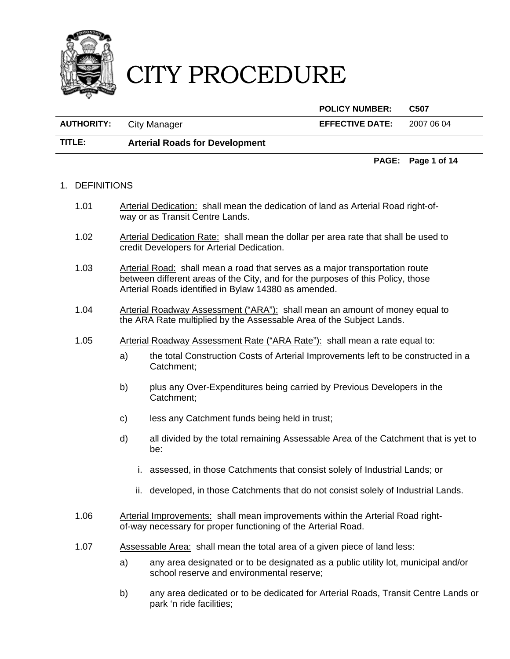

|                                |                                       | <b>POLICY NUMBER:</b>  | C507       |
|--------------------------------|---------------------------------------|------------------------|------------|
| <b>AUTHORITY:</b> City Manager |                                       | <b>EFFECTIVE DATE:</b> | 2007 06 04 |
| TITLE:                         | <b>Arterial Roads for Development</b> |                        |            |

# 1. DEFINITIONS

- 1.01 Arterial Dedication: shall mean the dedication of land as Arterial Road right-ofway or as Transit Centre Lands.
- 1.02 Arterial Dedication Rate: shall mean the dollar per area rate that shall be used to credit Developers for Arterial Dedication.
- 1.03 Arterial Road: shall mean a road that serves as a major transportation route between different areas of the City, and for the purposes of this Policy, those Arterial Roads identified in Bylaw 14380 as amended.
- 1.04 Arterial Roadway Assessment ("ARA"): shall mean an amount of money equal to the ARA Rate multiplied by the Assessable Area of the Subject Lands.
- 1.05 Arterial Roadway Assessment Rate ("ARA Rate"): shall mean a rate equal to:
	- a) the total Construction Costs of Arterial Improvements left to be constructed in a Catchment;

**PAGE: Page 1 of 14** 

- b) plus any Over-Expenditures being carried by Previous Developers in the Catchment;
- c) less any Catchment funds being held in trust;
- d) all divided by the total remaining Assessable Area of the Catchment that is yet to be:
	- i. assessed, in those Catchments that consist solely of Industrial Lands; or
	- ii. developed, in those Catchments that do not consist solely of Industrial Lands.
- 1.06 Arterial Improvements: shall mean improvements within the Arterial Road rightof-way necessary for proper functioning of the Arterial Road.
- 1.07 Assessable Area: shall mean the total area of a given piece of land less:
	- a) any area designated or to be designated as a public utility lot, municipal and/or school reserve and environmental reserve;
	- b) any area dedicated or to be dedicated for Arterial Roads, Transit Centre Lands or park 'n ride facilities;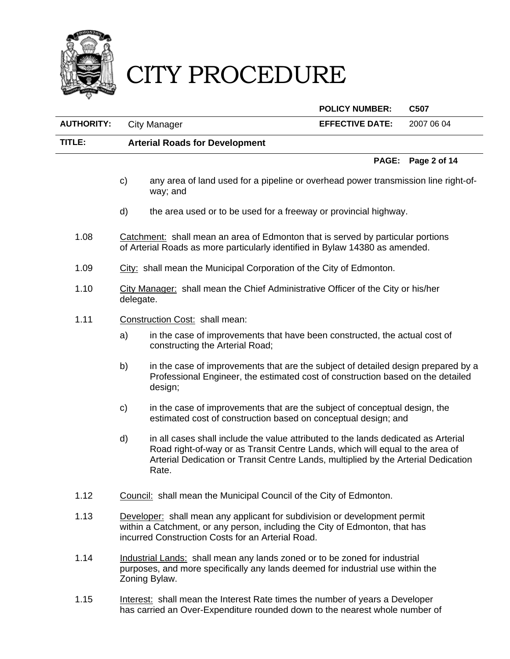

 **POLICY NUMBER: C507 AUTHORITY:** City Manager **EFFECTIVE DATE:** 2007 06 04 **TITLE: Arterial Roads for Development PAGE: Page 2 of 14**  c) any area of land used for a pipeline or overhead power transmission line right-ofway; and d) the area used or to be used for a freeway or provincial highway. 1.08 Catchment: shall mean an area of Edmonton that is served by particular portions of Arterial Roads as more particularly identified in Bylaw 14380 as amended. 1.09 City: shall mean the Municipal Corporation of the City of Edmonton. 1.10 City Manager: shall mean the Chief Administrative Officer of the City or his/her delegate. 1.11 Construction Cost: shall mean: a) in the case of improvements that have been constructed, the actual cost of constructing the Arterial Road; b) in the case of improvements that are the subject of detailed design prepared by a Professional Engineer, the estimated cost of construction based on the detailed design;

- c) in the case of improvements that are the subject of conceptual design, the estimated cost of construction based on conceptual design; and
- d) in all cases shall include the value attributed to the lands dedicated as Arterial Road right-of-way or as Transit Centre Lands, which will equal to the area of Arterial Dedication or Transit Centre Lands, multiplied by the Arterial Dedication Rate.
- 1.12 Council: shall mean the Municipal Council of the City of Edmonton.
- 1.13 Developer: shall mean any applicant for subdivision or development permit within a Catchment, or any person, including the City of Edmonton, that has incurred Construction Costs for an Arterial Road.
- 1.14 Industrial Lands: shall mean any lands zoned or to be zoned for industrial purposes, and more specifically any lands deemed for industrial use within the Zoning Bylaw.
- 1.15 Interest: shall mean the Interest Rate times the number of years a Developer has carried an Over-Expenditure rounded down to the nearest whole number of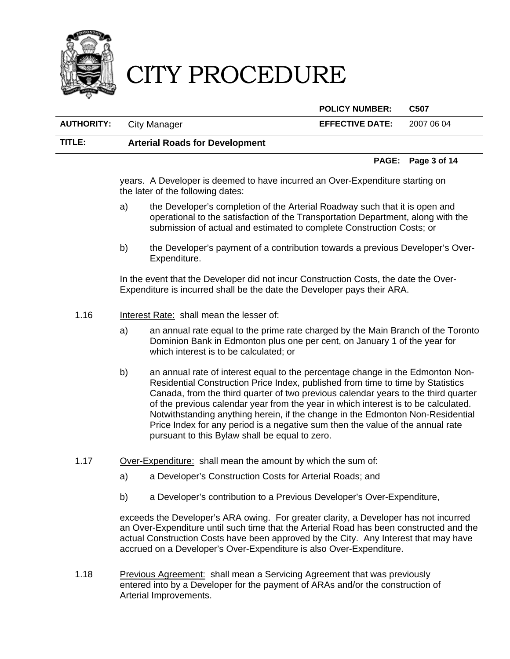

**POLICY NUMBER: C507** 

| <b>AUTHORITY:</b> | City Manager                          | <b>EFFECTIVE DATE:</b> | 2007 06 04 |  |
|-------------------|---------------------------------------|------------------------|------------|--|
| TITLE:            | <b>Arterial Roads for Development</b> |                        |            |  |

#### **PAGE: Page 3 of 14**

years. A Developer is deemed to have incurred an Over-Expenditure starting on the later of the following dates:

- a) the Developer's completion of the Arterial Roadway such that it is open and operational to the satisfaction of the Transportation Department, along with the submission of actual and estimated to complete Construction Costs; or
- b) the Developer's payment of a contribution towards a previous Developer's Over-Expenditure.

In the event that the Developer did not incur Construction Costs, the date the Over-Expenditure is incurred shall be the date the Developer pays their ARA.

- 1.16 Interest Rate: shall mean the lesser of:
	- a) an annual rate equal to the prime rate charged by the Main Branch of the Toronto Dominion Bank in Edmonton plus one per cent, on January 1 of the year for which interest is to be calculated; or
	- b) an annual rate of interest equal to the percentage change in the Edmonton Non-Residential Construction Price Index, published from time to time by Statistics Canada, from the third quarter of two previous calendar years to the third quarter of the previous calendar year from the year in which interest is to be calculated. Notwithstanding anything herein, if the change in the Edmonton Non-Residential Price Index for any period is a negative sum then the value of the annual rate pursuant to this Bylaw shall be equal to zero.
- 1.17 Over-Expenditure: shall mean the amount by which the sum of:
	- a) a Developer's Construction Costs for Arterial Roads; and
	- b) a Developer's contribution to a Previous Developer's Over-Expenditure,

exceeds the Developer's ARA owing. For greater clarity, a Developer has not incurred an Over-Expenditure until such time that the Arterial Road has been constructed and the actual Construction Costs have been approved by the City. Any Interest that may have accrued on a Developer's Over-Expenditure is also Over-Expenditure.

1.18 Previous Agreement: shall mean a Servicing Agreement that was previously entered into by a Developer for the payment of ARAs and/or the construction of Arterial Improvements.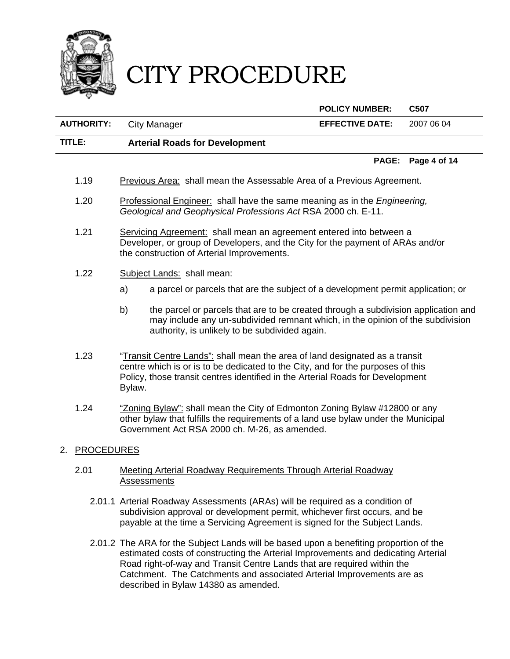

 **POLICY NUMBER: C507 AUTHORITY:** City Manager **EFFECTIVE DATE:** 2007 06 04 **TITLE: Arterial Roads for Development PAGE: Page 4 of 14**  1.19 Previous Area: shall mean the Assessable Area of a Previous Agreement.

- 1.20 Professional Engineer: shall have the same meaning as in the *Engineering, Geological and Geophysical Professions Act* RSA 2000 ch. E-11.
- 1.21 Servicing Agreement: shall mean an agreement entered into between a Developer, or group of Developers, and the City for the payment of ARAs and/or the construction of Arterial Improvements.
- 1.22 Subject Lands: shall mean:
	- a) a parcel or parcels that are the subject of a development permit application; or
	- b) the parcel or parcels that are to be created through a subdivision application and may include any un-subdivided remnant which, in the opinion of the subdivision authority, is unlikely to be subdivided again.
- 1.23 "Transit Centre Lands": shall mean the area of land designated as a transit centre which is or is to be dedicated to the City, and for the purposes of this Policy, those transit centres identified in the Arterial Roads for Development Bylaw.
- 1.24 "Zoning Bylaw": shall mean the City of Edmonton Zoning Bylaw #12800 or any other bylaw that fulfills the requirements of a land use bylaw under the Municipal Government Act RSA 2000 ch. M-26, as amended.

# 2. PROCEDURES

### 2.01 Meeting Arterial Roadway Requirements Through Arterial Roadway **Assessments**

- 2.01.1 Arterial Roadway Assessments (ARAs) will be required as a condition of subdivision approval or development permit, whichever first occurs, and be payable at the time a Servicing Agreement is signed for the Subject Lands.
- 2.01.2 The ARA for the Subject Lands will be based upon a benefiting proportion of the estimated costs of constructing the Arterial Improvements and dedicating Arterial Road right-of-way and Transit Centre Lands that are required within the Catchment. The Catchments and associated Arterial Improvements are as described in Bylaw 14380 as amended.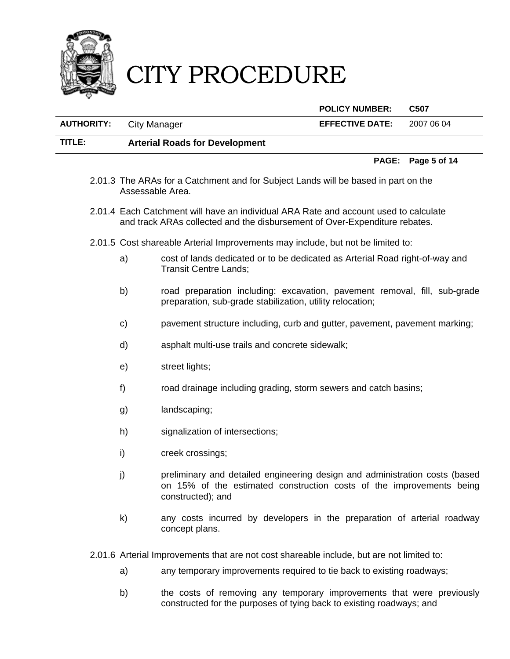

**POLICY NUMBER: C507** 

| <b>AUTHORITY:</b> | City Manager                          | <b>EFFECTIVE DATE:</b> | 2007 06 04 |
|-------------------|---------------------------------------|------------------------|------------|
| TITLE:            | <b>Arterial Roads for Development</b> |                        |            |

#### **PAGE: Page 5 of 14**

- 2.01.3 The ARAs for a Catchment and for Subject Lands will be based in part on the Assessable Area.
- 2.01.4 Each Catchment will have an individual ARA Rate and account used to calculate and track ARAs collected and the disbursement of Over-Expenditure rebates.
- 2.01.5 Cost shareable Arterial Improvements may include, but not be limited to:
	- a) cost of lands dedicated or to be dedicated as Arterial Road right-of-way and Transit Centre Lands;
	- b) road preparation including: excavation, pavement removal, fill, sub-grade preparation, sub-grade stabilization, utility relocation;
	- c) pavement structure including, curb and gutter, pavement, pavement marking;
	- d) asphalt multi-use trails and concrete sidewalk;
	- e) street lights;
	- f) road drainage including grading, storm sewers and catch basins;
	- g) landscaping;
	- h) signalization of intersections;
	- i) creek crossings;
	- j) preliminary and detailed engineering design and administration costs (based on 15% of the estimated construction costs of the improvements being constructed); and
	- k) any costs incurred by developers in the preparation of arterial roadway concept plans.

2.01.6 Arterial Improvements that are not cost shareable include, but are not limited to:

- a) any temporary improvements required to tie back to existing roadways;
- b) the costs of removing any temporary improvements that were previously constructed for the purposes of tying back to existing roadways; and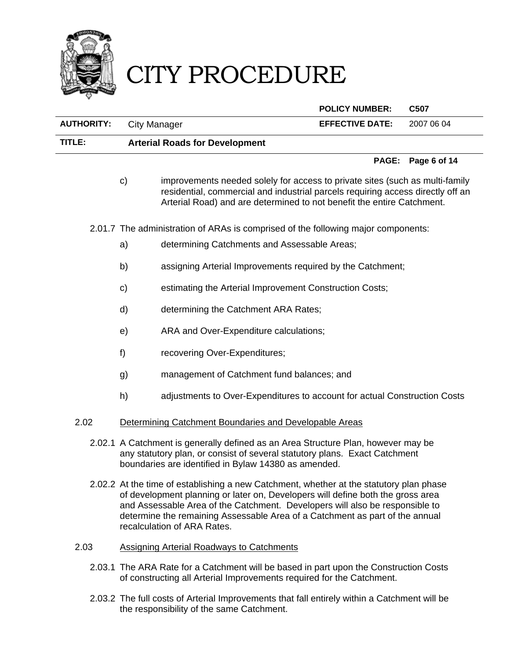

 **POLICY NUMBER: C507 AUTHORITY:** City Manager **EFFECTIVE DATE:** 2007 06 04 **TITLE: Arterial Roads for Development PAGE: Page 6 of 14**  c) improvements needed solely for access to private sites (such as multi-family

residential, commercial and industrial parcels requiring access directly off an Arterial Road) and are determined to not benefit the entire Catchment.

2.01.7 The administration of ARAs is comprised of the following major components:

- a) determining Catchments and Assessable Areas;
- b) assigning Arterial Improvements required by the Catchment;
- c) estimating the Arterial Improvement Construction Costs;
- d) determining the Catchment ARA Rates;
- e) ARA and Over-Expenditure calculations;
- f) recovering Over-Expenditures;
- g) management of Catchment fund balances; and
- h) adjustments to Over-Expenditures to account for actual Construction Costs
- 2.02 Determining Catchment Boundaries and Developable Areas
	- 2.02.1 A Catchment is generally defined as an Area Structure Plan, however may be any statutory plan, or consist of several statutory plans. Exact Catchment boundaries are identified in Bylaw 14380 as amended.
	- 2.02.2 At the time of establishing a new Catchment, whether at the statutory plan phase of development planning or later on, Developers will define both the gross area and Assessable Area of the Catchment. Developers will also be responsible to determine the remaining Assessable Area of a Catchment as part of the annual recalculation of ARA Rates.
- 2.03 Assigning Arterial Roadways to Catchments
	- 2.03.1 The ARA Rate for a Catchment will be based in part upon the Construction Costs of constructing all Arterial Improvements required for the Catchment.
	- 2.03.2 The full costs of Arterial Improvements that fall entirely within a Catchment will be the responsibility of the same Catchment.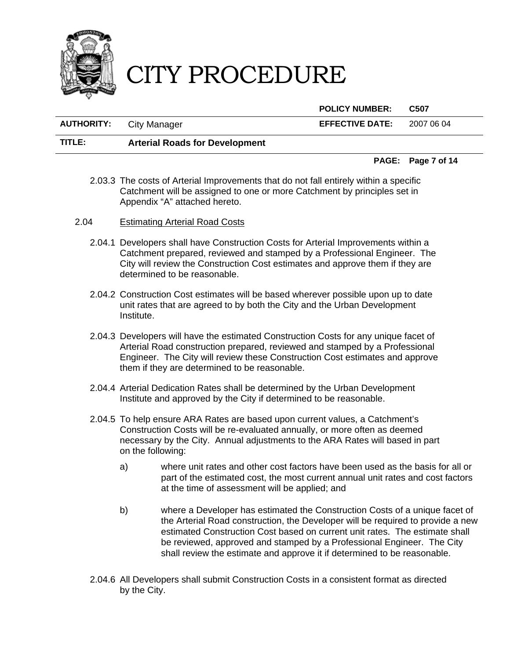

**POLICY NUMBER: C507** 

**AUTHORITY:** City Manager **EFFECTIVE DATE:** 2007 06 04

**TITLE: Arterial Roads for Development** 

### **PAGE: Page 7 of 14**

- 2.03.3 The costs of Arterial Improvements that do not fall entirely within a specific Catchment will be assigned to one or more Catchment by principles set in Appendix "A" attached hereto.
- 2.04 Estimating Arterial Road Costs
	- 2.04.1 Developers shall have Construction Costs for Arterial Improvements within a Catchment prepared, reviewed and stamped by a Professional Engineer. The City will review the Construction Cost estimates and approve them if they are determined to be reasonable.
	- 2.04.2 Construction Cost estimates will be based wherever possible upon up to date unit rates that are agreed to by both the City and the Urban Development Institute.
	- 2.04.3 Developers will have the estimated Construction Costs for any unique facet of Arterial Road construction prepared, reviewed and stamped by a Professional Engineer. The City will review these Construction Cost estimates and approve them if they are determined to be reasonable.
	- 2.04.4 Arterial Dedication Rates shall be determined by the Urban Development Institute and approved by the City if determined to be reasonable.
	- 2.04.5 To help ensure ARA Rates are based upon current values, a Catchment's Construction Costs will be re-evaluated annually, or more often as deemed necessary by the City. Annual adjustments to the ARA Rates will based in part on the following:
		- a) where unit rates and other cost factors have been used as the basis for all or part of the estimated cost, the most current annual unit rates and cost factors at the time of assessment will be applied; and
		- b) where a Developer has estimated the Construction Costs of a unique facet of the Arterial Road construction, the Developer will be required to provide a new estimated Construction Cost based on current unit rates. The estimate shall be reviewed, approved and stamped by a Professional Engineer. The City shall review the estimate and approve it if determined to be reasonable.
	- 2.04.6 All Developers shall submit Construction Costs in a consistent format as directed by the City.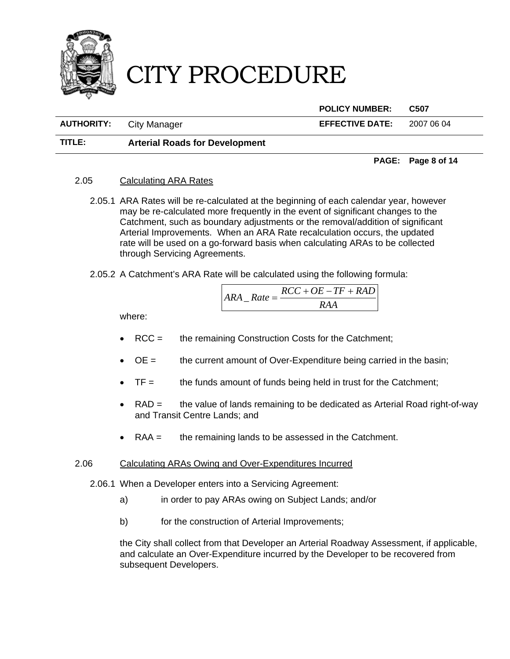

**POLICY NUMBER: C507** 

**AUTHORITY:** City Manager **EFFECTIVE DATE:** 2007 06 04

**TITLE: Arterial Roads for Development** 

**PAGE: Page 8 of 14** 

# 2.05 Calculating ARA Rates

- 2.05.1 ARA Rates will be re-calculated at the beginning of each calendar year, however may be re-calculated more frequently in the event of significant changes to the Catchment, such as boundary adjustments or the removal/addition of significant Arterial Improvements. When an ARA Rate recalculation occurs, the updated rate will be used on a go-forward basis when calculating ARAs to be collected through Servicing Agreements.
- 2.05.2 A Catchment's ARA Rate will be calculated using the following formula:

$$
ARA\_Rate = \frac{RCC + OE - TF + RAD}{RAA}
$$

where:

- RCC = the remaining Construction Costs for the Catchment;
- $\bullet$  OE = the current amount of Over-Expenditure being carried in the basin;
- $TF =$  the funds amount of funds being held in trust for the Catchment;
- RAD = the value of lands remaining to be dedicated as Arterial Road right-of-way and Transit Centre Lands; and
- RAA = the remaining lands to be assessed in the Catchment.

# 2.06 Calculating ARAs Owing and Over-Expenditures Incurred

2.06.1 When a Developer enters into a Servicing Agreement:

- a) in order to pay ARAs owing on Subject Lands; and/or
- b) for the construction of Arterial Improvements;

the City shall collect from that Developer an Arterial Roadway Assessment, if applicable, and calculate an Over-Expenditure incurred by the Developer to be recovered from subsequent Developers.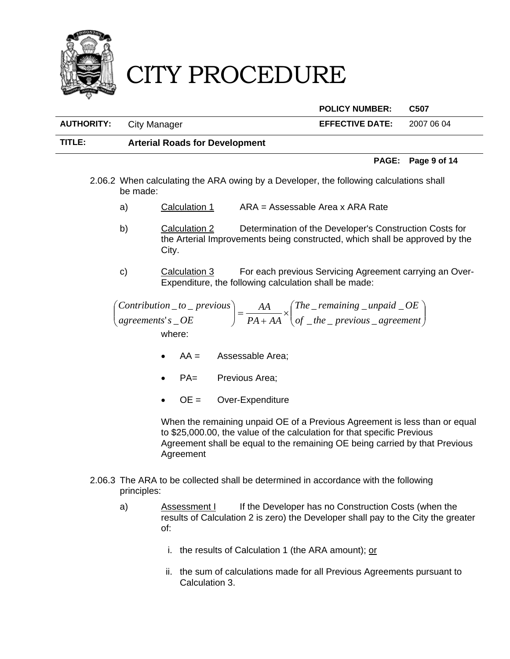

|                   |                                       | <b>POLICY NUMBER:</b>  | C507       |
|-------------------|---------------------------------------|------------------------|------------|
| <b>AUTHORITY:</b> | City Manager                          | <b>EFFECTIVE DATE:</b> | 2007 06 04 |
| TITLE:            | <b>Arterial Roads for Development</b> |                        |            |

#### **PAGE: Page 9 of 14**

- 2.06.2 When calculating the ARA owing by a Developer, the following calculations shall be made:
	- a) Calculation 1 ARA = Assessable Area x ARA Rate
	- b) Calculation 2 Determination of the Developer's Construction Costs for the Arterial Improvements being constructed, which shall be approved by the City.
	- c) Calculation 3 For each previous Servicing Agreement carrying an Over-Expenditure, the following calculation shall be made:

 $\overline{\phantom{a}}$ J  $\setminus$  $\overline{\phantom{a}}$  $\setminus$  $\bigg) = \frac{AA}{PA + AA} \times \bigg($ J  $\left(\frac{Contribution\_to\_previous}{\sqrt{2}}\right)$  $\setminus$ *of* \_the \_ previous \_ agreement *The remaining unpaid OE AAPA AA agreements OEs Contribution* \_ to \_ previous  $_$ the\_ previous  $_$  $\_$  remaining  $\_$  unpaid  $\_$  $'s_\_$  $\overline{\phantom{a}}$  to  $\overline{\phantom{a}}$ where:

- AA = Assessable Area;
- PA= Previous Area;
- OE = Over-Expenditure

When the remaining unpaid OE of a Previous Agreement is less than or equal to \$25,000.00, the value of the calculation for that specific Previous Agreement shall be equal to the remaining OE being carried by that Previous Agreement

- 2.06.3 The ARA to be collected shall be determined in accordance with the following principles:
	- a) Assessment I If the Developer has no Construction Costs (when the results of Calculation 2 is zero) the Developer shall pay to the City the greater of:
		- i. the results of Calculation 1 (the ARA amount); or
		- ii. the sum of calculations made for all Previous Agreements pursuant to Calculation 3.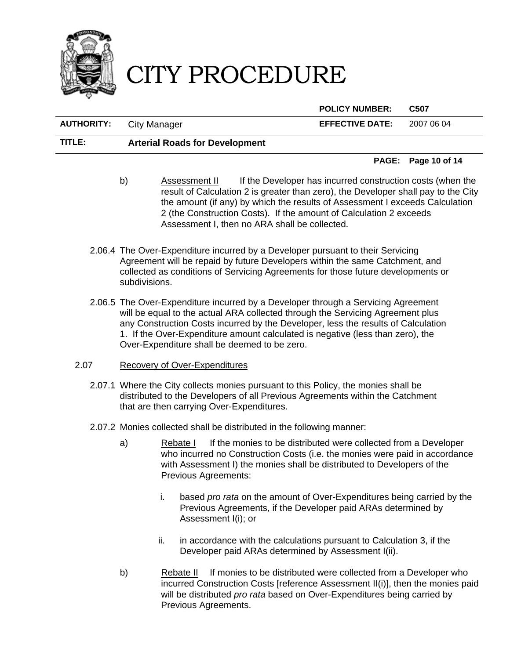

**POLICY NUMBER: C507** 

**AUTHORITY:** City Manager **EFFECTIVE DATE:** 2007 06 04

# **TITLE: Arterial Roads for Development**

### **PAGE: Page 10 of 14**

- b) Assessment II If the Developer has incurred construction costs (when the result of Calculation 2 is greater than zero), the Developer shall pay to the City the amount (if any) by which the results of Assessment I exceeds Calculation 2 (the Construction Costs). If the amount of Calculation 2 exceeds Assessment I, then no ARA shall be collected.
- 2.06.4 The Over-Expenditure incurred by a Developer pursuant to their Servicing Agreement will be repaid by future Developers within the same Catchment, and collected as conditions of Servicing Agreements for those future developments or subdivisions.
- 2.06.5 The Over-Expenditure incurred by a Developer through a Servicing Agreement will be equal to the actual ARA collected through the Servicing Agreement plus any Construction Costs incurred by the Developer, less the results of Calculation 1. If the Over-Expenditure amount calculated is negative (less than zero), the Over-Expenditure shall be deemed to be zero.

# 2.07 Recovery of Over-Expenditures

- 2.07.1 Where the City collects monies pursuant to this Policy, the monies shall be distributed to the Developers of all Previous Agreements within the Catchment that are then carrying Over-Expenditures.
- 2.07.2 Monies collected shall be distributed in the following manner:
	- a) Rebate I If the monies to be distributed were collected from a Developer who incurred no Construction Costs (i.e. the monies were paid in accordance with Assessment I) the monies shall be distributed to Developers of the Previous Agreements:
		- i. based *pro rata* on the amount of Over-Expenditures being carried by the Previous Agreements, if the Developer paid ARAs determined by Assessment I(i); or
		- ii. in accordance with the calculations pursuant to Calculation 3, if the Developer paid ARAs determined by Assessment I(ii).
	- b) Rebate II If monies to be distributed were collected from a Developer who incurred Construction Costs [reference Assessment II(i)], then the monies paid will be distributed *pro rata* based on Over-Expenditures being carried by Previous Agreements.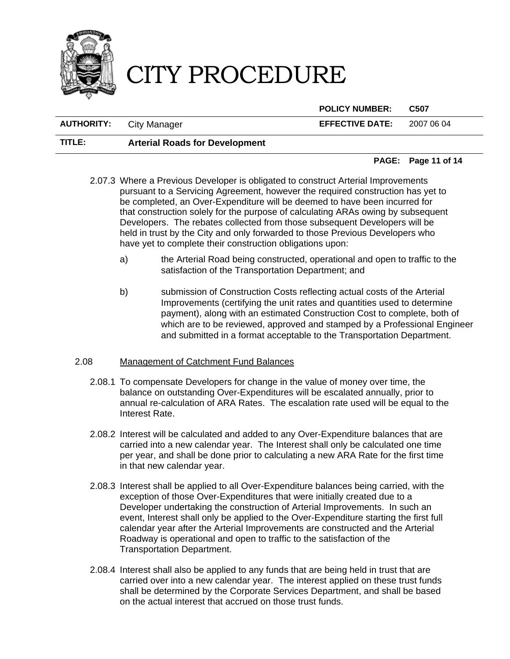

**POLICY NUMBER: C507** 

**AUTHORITY:** City Manager **EFFECTIVE DATE:** 2007 06 04

# **TITLE: Arterial Roads for Development**

### **PAGE: Page 11 of 14**

- 2.07.3 Where a Previous Developer is obligated to construct Arterial Improvements pursuant to a Servicing Agreement, however the required construction has yet to be completed, an Over-Expenditure will be deemed to have been incurred for that construction solely for the purpose of calculating ARAs owing by subsequent Developers. The rebates collected from those subsequent Developers will be held in trust by the City and only forwarded to those Previous Developers who have yet to complete their construction obligations upon:
	- a) the Arterial Road being constructed, operational and open to traffic to the satisfaction of the Transportation Department; and
	- b) submission of Construction Costs reflecting actual costs of the Arterial Improvements (certifying the unit rates and quantities used to determine payment), along with an estimated Construction Cost to complete, both of which are to be reviewed, approved and stamped by a Professional Engineer and submitted in a format acceptable to the Transportation Department.

# 2.08 Management of Catchment Fund Balances

- 2.08.1 To compensate Developers for change in the value of money over time, the balance on outstanding Over-Expenditures will be escalated annually, prior to annual re-calculation of ARA Rates. The escalation rate used will be equal to the Interest Rate.
- 2.08.2 Interest will be calculated and added to any Over-Expenditure balances that are carried into a new calendar year. The Interest shall only be calculated one time per year, and shall be done prior to calculating a new ARA Rate for the first time in that new calendar year.
- 2.08.3 Interest shall be applied to all Over-Expenditure balances being carried, with the exception of those Over-Expenditures that were initially created due to a Developer undertaking the construction of Arterial Improvements. In such an event, Interest shall only be applied to the Over-Expenditure starting the first full calendar year after the Arterial Improvements are constructed and the Arterial Roadway is operational and open to traffic to the satisfaction of the Transportation Department.
- 2.08.4 Interest shall also be applied to any funds that are being held in trust that are carried over into a new calendar year. The interest applied on these trust funds shall be determined by the Corporate Services Department, and shall be based on the actual interest that accrued on those trust funds.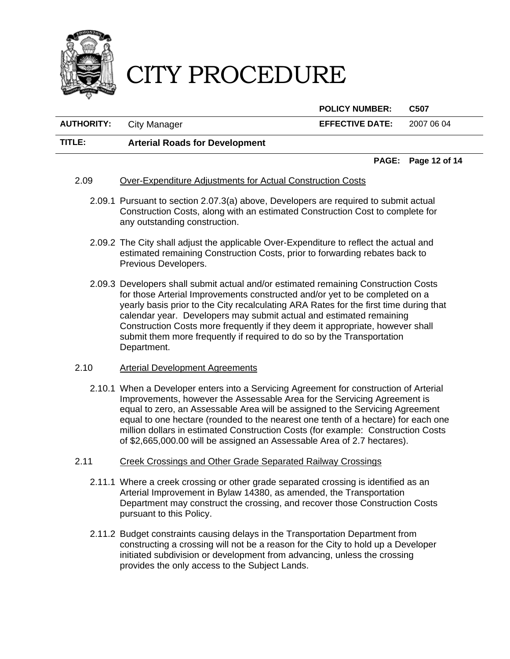

**POLICY NUMBER: C507** 

**AUTHORITY:** City Manager **EFFECTIVE DATE:** 2007 06 04

# **TITLE: Arterial Roads for Development**

#### **PAGE: Page 12 of 14**

### 2.09 Over-Expenditure Adjustments for Actual Construction Costs

- 2.09.1 Pursuant to section 2.07.3(a) above, Developers are required to submit actual Construction Costs, along with an estimated Construction Cost to complete for any outstanding construction.
- 2.09.2 The City shall adjust the applicable Over-Expenditure to reflect the actual and estimated remaining Construction Costs, prior to forwarding rebates back to Previous Developers.
- 2.09.3 Developers shall submit actual and/or estimated remaining Construction Costs for those Arterial Improvements constructed and/or yet to be completed on a yearly basis prior to the City recalculating ARA Rates for the first time during that calendar year. Developers may submit actual and estimated remaining Construction Costs more frequently if they deem it appropriate, however shall submit them more frequently if required to do so by the Transportation Department.
- 2.10 Arterial Development Agreements
	- 2.10.1 When a Developer enters into a Servicing Agreement for construction of Arterial Improvements, however the Assessable Area for the Servicing Agreement is equal to zero, an Assessable Area will be assigned to the Servicing Agreement equal to one hectare (rounded to the nearest one tenth of a hectare) for each one million dollars in estimated Construction Costs (for example: Construction Costs of \$2,665,000.00 will be assigned an Assessable Area of 2.7 hectares).
- 2.11 Creek Crossings and Other Grade Separated Railway Crossings
	- 2.11.1 Where a creek crossing or other grade separated crossing is identified as an Arterial Improvement in Bylaw 14380, as amended, the Transportation Department may construct the crossing, and recover those Construction Costs pursuant to this Policy.
	- 2.11.2 Budget constraints causing delays in the Transportation Department from constructing a crossing will not be a reason for the City to hold up a Developer initiated subdivision or development from advancing, unless the crossing provides the only access to the Subject Lands.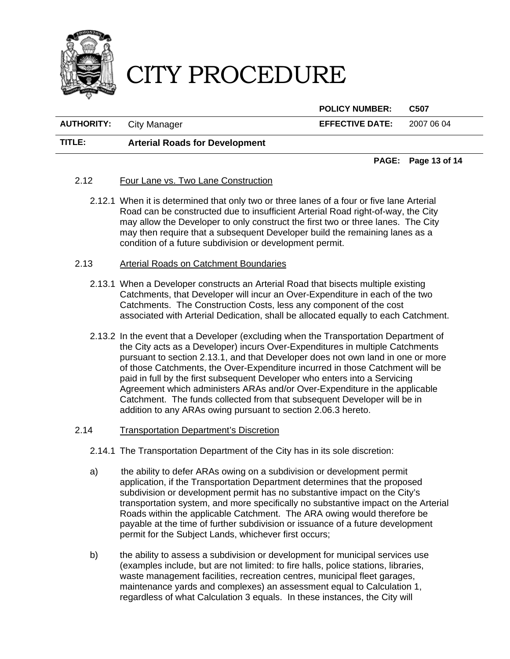

**POLICY NUMBER: C507** 

**AUTHORITY:** City Manager **EFFECTIVE DATE:** 2007 06 04

# **TITLE: Arterial Roads for Development**

**PAGE: Page 13 of 14** 

### 2.12 Four Lane vs. Two Lane Construction

2.12.1 When it is determined that only two or three lanes of a four or five lane Arterial Road can be constructed due to insufficient Arterial Road right-of-way, the City may allow the Developer to only construct the first two or three lanes. The City may then require that a subsequent Developer build the remaining lanes as a condition of a future subdivision or development permit.

### 2.13 Arterial Roads on Catchment Boundaries

- 2.13.1 When a Developer constructs an Arterial Road that bisects multiple existing Catchments, that Developer will incur an Over-Expenditure in each of the two Catchments. The Construction Costs, less any component of the cost associated with Arterial Dedication, shall be allocated equally to each Catchment.
- 2.13.2 In the event that a Developer (excluding when the Transportation Department of the City acts as a Developer) incurs Over-Expenditures in multiple Catchments pursuant to section 2.13.1, and that Developer does not own land in one or more of those Catchments, the Over-Expenditure incurred in those Catchment will be paid in full by the first subsequent Developer who enters into a Servicing Agreement which administers ARAs and/or Over-Expenditure in the applicable Catchment. The funds collected from that subsequent Developer will be in addition to any ARAs owing pursuant to section 2.06.3 hereto.

# 2.14 Transportation Department's Discretion

- 2.14.1 The Transportation Department of the City has in its sole discretion:
- a) the ability to defer ARAs owing on a subdivision or development permit application, if the Transportation Department determines that the proposed subdivision or development permit has no substantive impact on the City's transportation system, and more specifically no substantive impact on the Arterial Roads within the applicable Catchment. The ARA owing would therefore be payable at the time of further subdivision or issuance of a future development permit for the Subject Lands, whichever first occurs;
- b) the ability to assess a subdivision or development for municipal services use (examples include, but are not limited: to fire halls, police stations, libraries, waste management facilities, recreation centres, municipal fleet garages, maintenance yards and complexes) an assessment equal to Calculation 1, regardless of what Calculation 3 equals. In these instances, the City will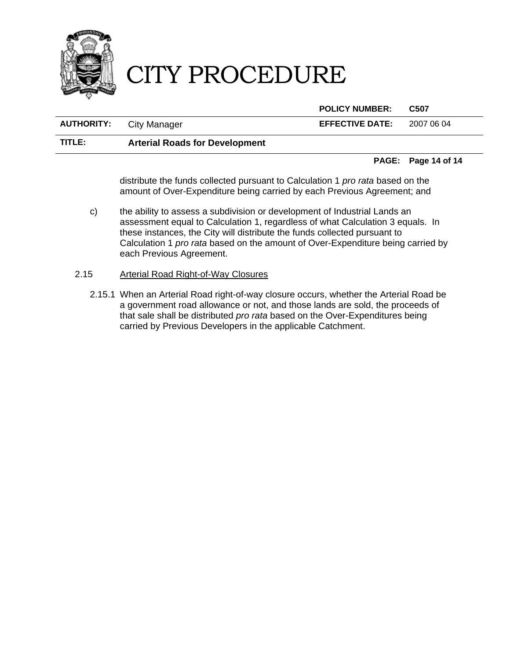

**POLICY NUMBER: C507** 

| <b>AUTHORITY:</b> | City Manager                          | <b>EFFECTIVE DATE:</b> | 2007 06 04 |
|-------------------|---------------------------------------|------------------------|------------|
| TITLE:            | <b>Arterial Roads for Development</b> |                        |            |

#### **PAGE: Page 14 of 14**

distribute the funds collected pursuant to Calculation 1 *pro rata* based on the amount of Over-Expenditure being carried by each Previous Agreement; and

- c) the ability to assess a subdivision or development of Industrial Lands an assessment equal to Calculation 1, regardless of what Calculation 3 equals. In these instances, the City will distribute the funds collected pursuant to Calculation 1 *pro rata* based on the amount of Over-Expenditure being carried by each Previous Agreement.
- 2.15 Arterial Road Right-of-Way Closures
	- 2.15.1 When an Arterial Road right-of-way closure occurs, whether the Arterial Road be a government road allowance or not, and those lands are sold, the proceeds of that sale shall be distributed *pro rata* based on the Over-Expenditures being carried by Previous Developers in the applicable Catchment.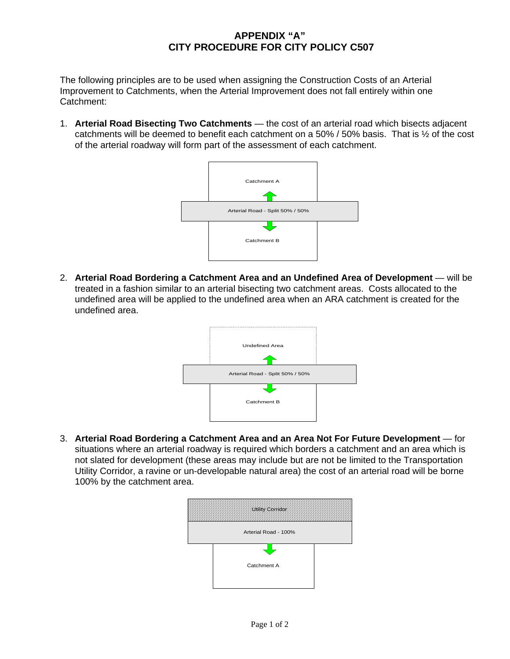# **APPENDIX "A" CITY PROCEDURE FOR CITY POLICY C507**

The following principles are to be used when assigning the Construction Costs of an Arterial Improvement to Catchments, when the Arterial Improvement does not fall entirely within one Catchment:

1. **Arterial Road Bisecting Two Catchments** — the cost of an arterial road which bisects adjacent catchments will be deemed to benefit each catchment on a 50% / 50% basis. That is ½ of the cost of the arterial roadway will form part of the assessment of each catchment.



2. **Arterial Road Bordering a Catchment Area and an Undefined Area of Development** — will be treated in a fashion similar to an arterial bisecting two catchment areas. Costs allocated to the undefined area will be applied to the undefined area when an ARA catchment is created for the undefined area.



3. **Arterial Road Bordering a Catchment Area and an Area Not For Future Development** — for situations where an arterial roadway is required which borders a catchment and an area which is not slated for development (these areas may include but are not be limited to the Transportation Utility Corridor, a ravine or un-developable natural area) the cost of an arterial road will be borne 100% by the catchment area.